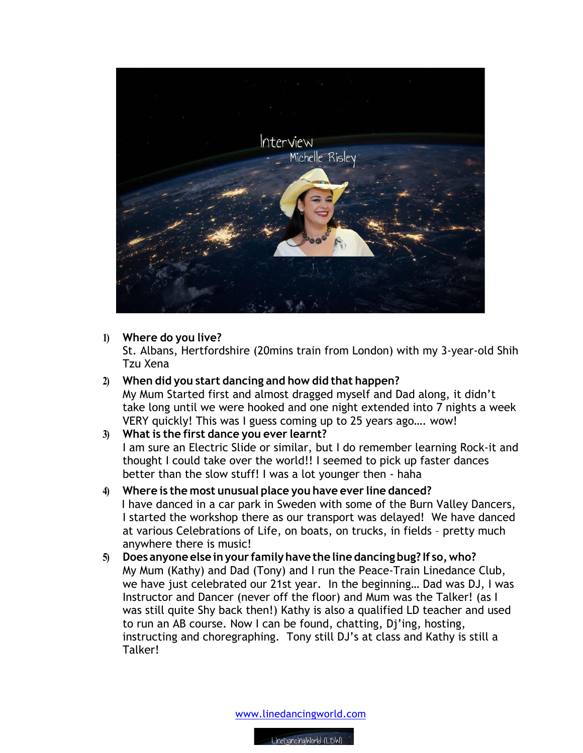

## **1) Where do you live?**

St. Albans, Hertfordshire (20mins train from London) with my 3-year-old Shih Tzu Xena

**2) When did you start dancing and how did that happen?** My Mum Started first and almost dragged myself and Dad along, it didn't take long until we were hooked and one night extended into 7 nights a week VERY quickly! This was I guess coming up to 25 years ago…. wow!

## **3) What is the first dance you ever learnt?**

I am sure an Electric Slide or similar, but I do remember learning Rock-it and thought I could take over the world!! I seemed to pick up faster dances better than the slow stuff! I was a lot younger then - haha

- **4) Where is the most unusual place you have ever line danced?** I have danced in a car park in Sweden with some of the Burn Valley Dancers, I started the workshop there as our transport was delayed! We have danced at various Celebrations of Life, on boats, on trucks, in fields – pretty much anywhere there is music!
- **5) Does anyone else inyour familyhave the line dancing bug? If so,who?** My Mum (Kathy) and Dad (Tony) and I run the Peace-Train Linedance Club, we have just celebrated our 21st year. In the beginning… Dad was DJ, I was Instructor and Dancer (never off the floor) and Mum was the Talker! (as I was still quite Shy back then!) Kathy is also a qualified LD teacher and used to run an AB course. Now I can be found, chatting, Dj'ing, hosting, instructing and choregraphing. Tony still DJ's at class and Kathy is still a Talker!

www.linedancingworld.com